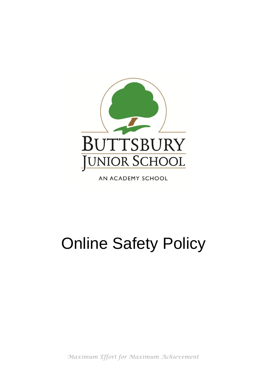

AN ACADEMY SCHOOL

# Online Safety Policy

*Maximum Effort for Maximum Achievement*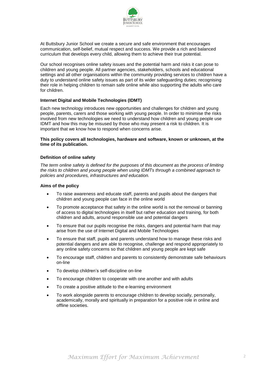

At Buttsbury Junior School we create a secure and safe environment that encourages communication, self-belief, mutual respect and success. We provide a rich and balanced curriculum that develops every child, allowing them to achieve their true potential.

Our school recognises online safety issues and the potential harm and risks it can pose to children and young people. All partner agencies, stakeholders, schools and educational settings and all other organisations within the community providing services to children have a duty to understand online safety issues as part of its wider safeguarding duties; recognising their role in helping children to remain safe online while also supporting the adults who care for children.

# **Internet Digital and Mobile Technologies (IDMT)**

Each new technology introduces new opportunities and challenges for children and young people, parents, carers and those working with young people. In order to minimise the risks involved from new technologies we need to understand how children and young people use IDMT and how this may be misused by those who may present a risk to children. It is important that we know how to respond when concerns arise.

### **This policy covers all technologies, hardware and software, known or unknown, at the time of its publication.**

#### **Definition of online safety**

*The term online safety is defined for the purposes of this document as the process of limiting the risks to children and young people when using IDMTs through a combined approach to policies and procedures, infrastructures and education.*

#### **Aims of the policy**

- To raise awareness and educate staff, parents and pupils about the dangers that children and young people can face in the online world
- To promote acceptance that safety in the online world is not the removal or banning of access to digital technologies in itself but rather education and training, for both children and adults, around responsible use and potential dangers
- To ensure that our pupils recognise the risks, dangers and potential harm that may arise from the use of Internet Digital and Mobile Technologies
- To ensure that staff, pupils and parents understand how to manage these risks and potential dangers and are able to recognise, challenge and respond appropriately to any online safety concerns so that children and young people are kept safe
- To encourage staff, children and parents to consistently demonstrate safe behaviours on-line
- To develop children's self-discipline on-line
- To encourage children to cooperate with one another and with adults
- To create a positive attitude to the e-learning environment
- To work alongside parents to encourage children to develop socially, personally, academically, morally and spiritually in preparation for a positive role in online and offline societies.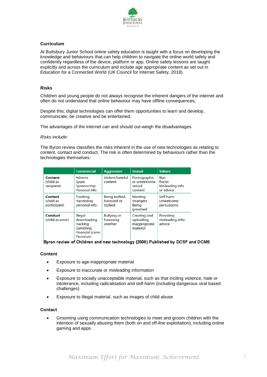

# **Curriculum**

At Buttsbury Junior School online safety education is taught with a focus on developing the knowledge and behaviours that can help children to navigate the online world safely and confidently regardless of the device, platform or app. Online safety lessons are taught explicitly and across the curriculum and include age appropriate content as set out in Education for a Connected World (UK Council for Internet Safety, 2018).

#### **Risks**

Children and young people do not always recognise the inherent dangers of the internet and often do not understand that online behaviour may have offline consequences.

Despite this, digital technologies can offer them opportunities to learn and develop, communicate, be creative and be entertained.

The advantages of the internet can and should out-weigh the disadvantages.

#### *Risks include:*

The Byron review classifies the risks inherent in the use of new technologies as relating to content, contact and conduct. The risk is often determined by behaviours rather than the technologies themselves:

|                                      | Commercial                                                                    | <b>Aggressive</b>                        | <b>Sexual</b>                                          | <b>Values</b>                                  |
|--------------------------------------|-------------------------------------------------------------------------------|------------------------------------------|--------------------------------------------------------|------------------------------------------------|
| Content<br>(child as<br>recipient)   | Adverts<br>Spam<br>Sponsorship<br>Personal info                               | Violent/hateful<br>content               | Pornographic<br>or unwelcome<br>sexual<br>content      | Bias<br>Racist<br>Misleading info<br>or advice |
| Contact<br>(child as<br>participant) | Tracking<br>Harvesting<br>personal info                                       | Being bullied,<br>harassed or<br>stalked | Meeting<br>strangers<br>Beina<br>aroomed               | Self-harm<br>Unwelcome<br>persuasions          |
| Conduct<br>(child as actor)          | Illegal<br>downloading<br>Hacking<br>Gambling<br>Financial scams<br>Terrorism | Bullying or<br>harassing<br>another      | Creating and<br>uploading<br>Inappropriate<br>material | Providing<br>misleading info/<br>advice        |

# Byron review of Children and new technology (2008) Published by DCSF and DCMS

#### **Content**

- Exposure to age-inappropriate material
- Exposure to inaccurate or misleading information
- Exposure to socially unacceptable material, such as that inciting violence, hate or intolerance, including radicalisation and self-harm (including dangerous viral based challenges)
- Exposure to illegal material, such as images of child abuse

#### **Contact**

 Grooming using communication technologies to meet and groom children with the intention of sexually abusing them (both on and off-line exploitation), including online gaming and apps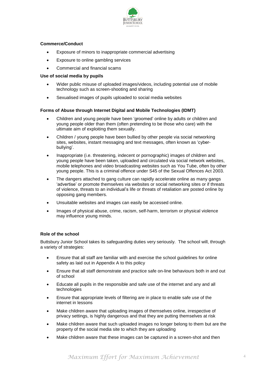

# **Commerce/Conduct**

- Exposure of minors to inappropriate commercial advertising
- Exposure to online gambling services
- Commercial and financial scams

# **Use of social media by pupils**

- Wider public misuse of uploaded images/videos, including potential use of mobile technology such as screen-shooting and sharing
- Sexualised images of pupils uploaded to social media websites

# **Forms of Abuse through Internet Digital and Mobile Technologies (IDMT)**

- Children and young people have been 'groomed' online by adults or children and young people older than them (often pretending to be those who care) with the ultimate aim of exploiting them sexually.
- Children / young people have been bullied by other people via social networking sites, websites, instant messaging and text messages, often known as 'cyberbullying'.
- Inappropriate (i.e. threatening, indecent or pornographic) images of children and young people have been taken, uploaded and circulated via social network websites, mobile telephones and video broadcasting websites such as You Tube, often by other young people. This is a criminal offence under S45 of the Sexual Offences Act 2003.
- The dangers attached to gang culture can rapidly accelerate online as many gangs 'advertise' or promote themselves via websites or social networking sites or if threats of violence, threats to an individual's life or threats of retaliation are posted online by opposing gang members.
- Unsuitable websites and images can easily be accessed online.
- Images of physical abuse, crime, racism, self-harm, terrorism or physical violence may influence young minds.

# **Role of the school**

Buttsbury Junior School takes its safeguarding duties very seriously. The school will, through a variety of strategies:

- Ensure that all staff are familiar with and exercise the school guidelines for online safety as laid out in Appendix A to this policy
- Ensure that all staff demonstrate and practice safe on-line behaviours both in and out of school
- Educate all pupils in the responsible and safe use of the internet and any and all technologies
- Ensure that appropriate levels of filtering are in place to enable safe use of the internet in lessons
- Make children aware that uploading images of themselves online, irrespective of privacy settings, is highly dangerous and that they are putting themselves at risk
- Make children aware that such uploaded images no longer belong to them but are the property of the social media site to which they are uploading
- Make children aware that these images can be captured in a screen-shot and then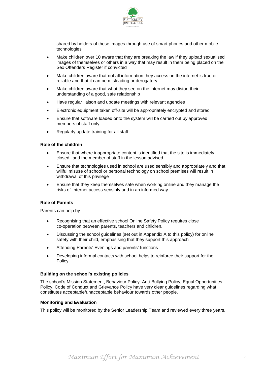

shared by holders of these images through use of smart phones and other mobile technologies

- Make children over 10 aware that they are breaking the law if they upload sexualised images of themselves or others in a way that may result in them being placed on the Sex Offenders Register if convicted
- Make children aware that not all information they access on the internet is true or reliable and that it can be misleading or derogatory
- Make children aware that what they see on the internet may distort their understanding of a good, safe relationship
- Have regular liaison and update meetings with relevant agencies
- Electronic equipment taken off-site will be appropriately encrypted and stored
- Ensure that software loaded onto the system will be carried out by approved members of staff only
- Regularly update training for all staff

# **Role of the children**

- Ensure that where inappropriate content is identified that the site is immediately closed and the member of staff in the lesson advised
- Ensure that technologies used in school are used sensibly and appropriately and that willful misuse of school or personal technology on school premises will result in withdrawal of this privilege
- Ensure that they keep themselves safe when working online and they manage the risks of internet access sensibly and in an informed way

# **Role of Parents**

Parents can help by

- Recognising that an effective school Online Safety Policy requires close co-operation between parents, teachers and children.
- Discussing the school guidelines (set out in Appendix A to this policy) for online safety with their child, emphasising that they support this approach
- Attending Parents' Evenings and parents' functions
- Developing informal contacts with school helps to reinforce their support for the Policy.

#### **Building on the school's existing policies**

The school's Mission Statement, Behaviour Policy, Anti-Bullying Policy, Equal Opportunities Policy, Code of Conduct and Grievance Policy have very clear guidelines regarding what constitutes acceptable/unacceptable behaviour towards other people.

#### **Monitoring and Evaluation**

This policy will be monitored by the Senior Leadership Team and reviewed every three years.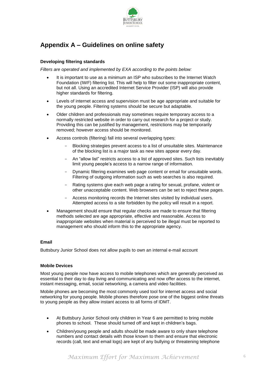

# **Appendix A – Guidelines on online safety**

# **Developing filtering standards**

*Filters are operated and implemented by EXA according to the points below:*

- It is important to use as a minimum an ISP who subscribes to the Internet Watch Foundation (IWF) filtering list. This will help to filter out some inappropriate content, but not all. Using an accredited Internet Service Provider (ISP) will also provide higher standards for filtering.
- Levels of internet access and supervision must be age appropriate and suitable for the young people. Filtering systems should be secure but adaptable.
- Older children and professionals may sometimes require temporary access to a normally restricted website in order to carry out research for a project or study. Providing this can be justified by management, restrictions may be temporarily removed; however access should be monitored.
- Access controls (filtering) fall into several overlapping types:
	- Blocking strategies prevent access to a list of unsuitable sites. Maintenance of the blocking list is a major task as new sites appear every day.
	- An "allow list" restricts access to a list of approved sites. Such lists inevitably limit young people's access to a narrow range of information.
	- Dynamic filtering examines web page content or email for unsuitable words. Filtering of outgoing information such as web searches is also required.
	- Rating systems give each web page a rating for sexual, profane, violent or other unacceptable content. Web browsers can be set to reject these pages.
	- Access monitoring records the Internet sites visited by individual users. Attempted access to a site forbidden by the policy will result in a report.
- Management should ensure that regular checks are made to ensure that filtering methods selected are age appropriate, effective and reasonable. Access to inappropriate websites when material is perceived to be illegal must be reported to management who should inform this to the appropriate agency.

# **Email**

Buttsbury Junior School does not allow pupils to own an internal e-mail account

# **Mobile Devices**

Most young people now have access to mobile telephones which are generally perceived as essential to their day to day living and communicating and now offer access to the internet, instant messaging, email, social networking, a camera and video facilities.

Mobile phones are becoming the most commonly used tool for internet access and social networking for young people. Mobile phones therefore pose one of the biggest online threats to young people as they allow instant access to all forms of IDMT.

- At Buttsbury Junior School only children in Year 6 are permitted to bring mobile phones to school. These should turned off and kept in children's bags.
- Children/young people and adults should be made aware to only share telephone numbers and contact details with those known to them and ensure that electronic records (call, text and email logs) are kept of any bullying or threatening telephone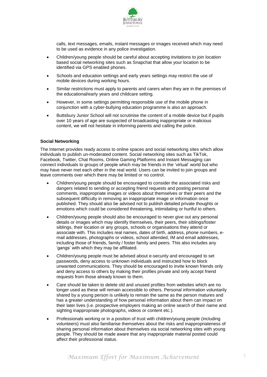

calls, text messages, emails, instant messages or images received which may need to be used as evidence in any police investigation.

- Children/young people should be careful about accepting invitations to join location based social networking sites such as Snapchat that allow your location to be identified via GPS enabled phones.
- Schools and education settings and early years settings may restrict the use of mobile devices during working hours.
- Similar restrictions must apply to parents and carers when they are in the premises of the educational/early years and childcare setting.
- However, in some settings permitting responsible use of the mobile phone in conjunction with a cyber-bullying education programme is also an approach.
- Buttsbury Junior School will not scrutinise the content of a mobile device but if pupils over 10 years of age are suspected of broadcasting inappropriate or malicious content, we will not hesitate in informing parents and calling the police.

#### **Social Networking**

The Internet provides ready access to online spaces and social networking sites which allow individuals to publish un-moderated content. Social networking sites such as TikTok, Facebook, Twitter, Chat Rooms, Online Gaming Platforms and Instant Messaging can connect individuals to groups of people which may be friends in the 'virtual' world but who may have never met each other in the real world. Users can be invited to join groups and leave comments over which there may be limited or no control.

- Children/young people should be encouraged to consider the associated risks and dangers related to sending or accepting friend requests and posting personal comments, inappropriate images or videos about themselves or their peers and the subsequent difficulty in removing an inappropriate image or information once published. They should also be advised not to publish detailed private thoughts or emotions which could be considered threatening, intimidating or hurtful to others.
- Children/young people should also be encouraged to never give out any personal details or images which may identify themselves, their peers, their siblings/foster siblings, their location or any groups, schools or organisations they attend or associate with. This includes real names, dates of birth, address, phone numbers, email addresses, photographs or videos, school attended, IM and email addresses, including those of friends, family / foster family and peers. This also includes any 'gangs' with which they may be affiliated.
- Children/young people must be advised about e-security and encouraged to set passwords, deny access to unknown individuals and instructed how to block unwanted communications. They should be encouraged to invite known friends only and deny access to others by making their profiles private and only accept friend requests from those already known to them.
- Care should be taken to delete old and unused profiles from websites which are no longer used as these will remain accessible to others. Personal information voluntarily shared by a young person is unlikely to remain the same as the person matures and has a greater understanding of how personal information about them can impact on their later lives (i.e. prospective employers making an online search of their name and sighting inappropriate photographs, videos or content etc.).
- Professionals working or in a position of trust with children/young people (including volunteers) must also familiarise themselves about the risks and inappropriateness of sharing personal information about themselves via social networking sites with young people. They should be made aware that any inappropriate material posted could affect their professional status.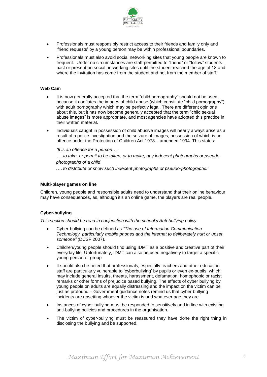

- Professionals must responsibly restrict access to their friends and family only and 'friend requests' by a young person may be within professional boundaries.
- Professionals must also avoid social networking sites that young people are known to frequent. Under no circumstances are staff permitted to "friend" or "follow" students past or present on social networking sites until the student reached the age of 18 and where the invitation has come from the student and not from the member of staff.

### **Web Cam**

- It is now generally accepted that the term "child pornography" should not be used, because it conflates the images of child abuse (which constitute "child pornography") with adult pornography which may be perfectly legal. There are different opinions about this, but it has now become generally accepted that the term "child sexual abuse images" is more appropriate, and most agencies have adopted this practice in their written material.
- Individuals caught in possession of child abusive images will nearly always arise as a result of a police investigation and the seizure of images, possession of which is an offence under the Protection of Children Act 1978 – amended 1994. This states:

*"It is an offence for a person….*

*…. to take, or permit to be taken, or to make, any indecent photographs or pseudophotographs of a child*

*.… to distribute or show such indecent photographs or pseudo-photographs."*

#### **Multi-player games on line**

Children, young people and responsible adults need to understand that their online behaviour may have consequences, as, although it's an online game, the players are real people**.**

# **Cyber-bullying**

*This section should be read in conjunction with the school's Anti-bullying policy*

- Cyber-bullying can be defined as *"The use of Information Communication Technology, particularly mobile phones and the internet to deliberately hurt or upset someone"* (DCSF 2007).
- Children/young people should find using IDMT as a positive and creative part of their everyday life. Unfortunately, IDMT can also be used negatively to target a specific young person or group.
- It should also be noted that professionals, especially teachers and other education staff are particularly vulnerable to 'cyberbullying' by pupils or even ex-pupils, which may include general insults, threats, harassment, defamation, homophobic or racist remarks or other forms of prejudice based bullying. The effects of cyber bullying by young people on adults are equally distressing and the impact on the victim can be just as profound – Government guidance notes remind us that cyber bullying incidents are upsetting whoever the victim is and whatever age they are.
- Instances of cyber-bullying must be responded to sensitively and in line with existing anti-bullying policies and procedures in the organisation.
- The victim of cyber-bullying must be reassured they have done the right thing in disclosing the bullying and be supported.